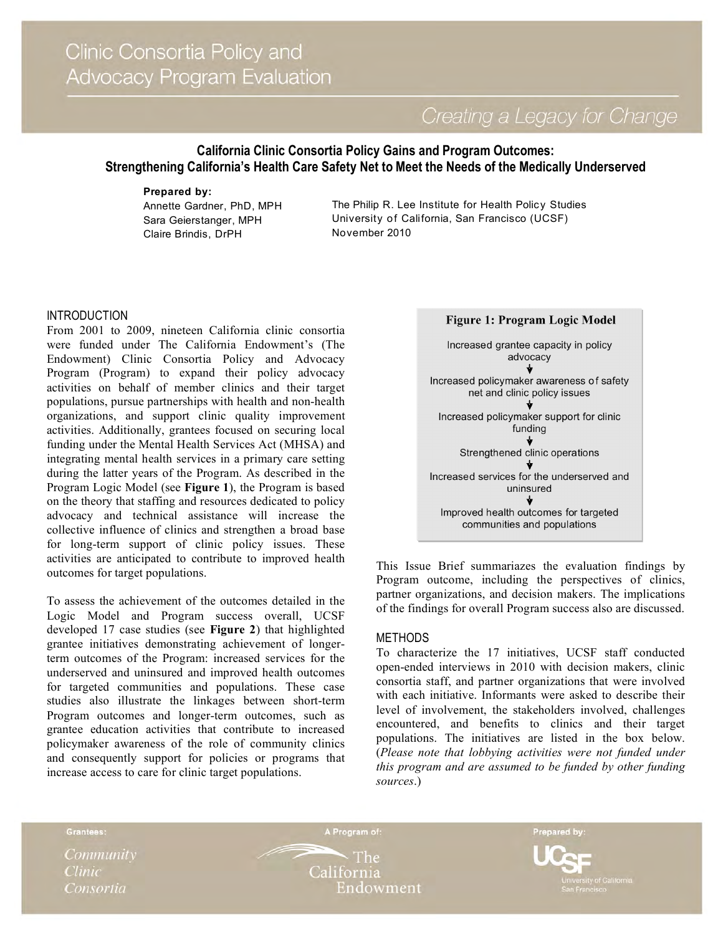Creating a Legacy for Change

# **California Clinic Consortia Policy Gains and Program Outcomes: Strengthening California's Health Care Safety Net to Meet the Needs of the Medically Underserved**

### **Prepared by:**

Annette Gardner, PhD, MPH Sara Geierstanger, MPH Claire Brindis, DrPH

The Philip R. Lee Institute for Health Policy Studies University of California, San Francisco (UCSF) November 2010

# INTRODUCTION

From 2001 to 2009, nineteen California clinic consortia were funded under The California Endowment's (The Endowment) Clinic Consortia Policy and Advocacy Program (Program) to expand their policy advocacy activities on behalf of member clinics and their target populations, pursue partnerships with health and non-health organizations, and support clinic quality improvement activities. Additionally, grantees focused on securing local funding under the Mental Health Services Act (MHSA) and integrating mental health services in a primary care setting during the latter years of the Program. As described in the Program Logic Model (see **Figure 1**), the Program is based on the theory that staffing and resources dedicated to policy advocacy and technical assistance will increase the collective influence of clinics and strengthen a broad base for long-term support of clinic policy issues. These activities are anticipated to contribute to improved health outcomes for target populations.

To assess the achievement of the outcomes detailed in the Logic Model and Program success overall, UCSF developed 17 case studies (see **Figure 2**) that highlighted grantee initiatives demonstrating achievement of longerterm outcomes of the Program: increased services for the underserved and uninsured and improved health outcomes for targeted communities and populations. These case studies also illustrate the linkages between short-term Program outcomes and longer-term outcomes, such as grantee education activities that contribute to increased policymaker awareness of the role of community clinics and consequently support for policies or programs that increase access to care for clinic target populations.



This Issue Brief summariazes the evaluation findings by Program outcome, including the perspectives of clinics, partner organizations, and decision makers. The implications of the findings for overall Program success also are discussed.

# METHODS

To characterize the 17 initiatives, UCSF staff conducted open-ended interviews in 2010 with decision makers, clinic consortia staff, and partner organizations that were involved with each initiative. Informants were asked to describe their level of involvement, the stakeholders involved, challenges encountered, and benefits to clinics and their target populations. The initiatives are listed in the box below. (*Please note that lobbying activities were not funded under this program and are assumed to be funded by other funding sources*.)

Grantees:

Community **Clinic** Consortia

The California Endowment

A Program of:

Prepared by:

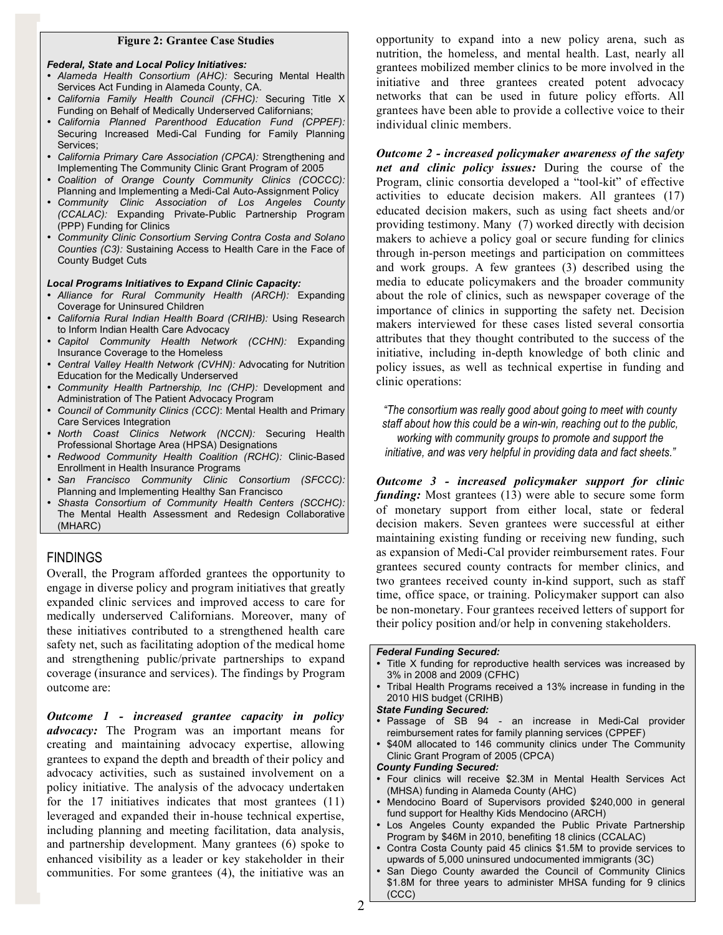#### **Figure 2: Grantee Case Studies**

#### *Federal, State and Local Policy Initiatives:*

- *Alameda Health Consortium (AHC):* Securing Mental Health Services Act Funding in Alameda County, CA.
- *California Family Health Council (CFHC):* Securing Title X Funding on Behalf of Medically Underserved Californians;
- *California Planned Parenthood Education Fund (CPPEF):* Securing Increased Medi-Cal Funding for Family Planning Services;
- *California Primary Care Association (CPCA):* Strengthening and Implementing The Community Clinic Grant Program of 2005
- *Coalition of Orange County Community Clinics (COCCC):* Planning and Implementing a Medi-Cal Auto-Assignment Policy
- *Community Clinic Association of Los Angeles County (CCALAC):* Expanding Private-Public Partnership Program (PPP) Funding for Clinics
- *Community Clinic Consortium Serving Contra Costa and Solano Counties (C3):* Sustaining Access to Health Care in the Face of County Budget Cuts

#### *Local Programs Initiatives to Expand Clinic Capacity:*

- *Alliance for Rural Community Health (ARCH):* Expanding Coverage for Uninsured Children
- *California Rural Indian Health Board (CRIHB):* Using Research to Inform Indian Health Care Advocacy
- *Capitol Community Health Network (CCHN):* Expanding Insurance Coverage to the Homeless
- *Central Valley Health Network (CVHN):* Advocating for Nutrition Education for the Medically Underserved
- *Community Health Partnership, Inc (CHP):* Development and Administration of The Patient Advocacy Program
- *Council of Community Clinics (CCC)*: Mental Health and Primary Care Services Integration
- *North Coast Clinics Network (NCCN):* Securing Health Professional Shortage Area (HPSA) Designations
- *Redwood Community Health Coalition (RCHC):* Clinic-Based Enrollment in Health Insurance Programs
- *San Francisco Community Clinic Consortium (SFCCC):* Planning and Implementing Healthy San Francisco
- *Shasta Consortium of Community Health Centers (SCCHC):* The Mental Health Assessment and Redesign Collaborative (MHARC)

# **FINDINGS**

Overall, the Program afforded grantees the opportunity to engage in diverse policy and program initiatives that greatly expanded clinic services and improved access to care for medically underserved Californians. Moreover, many of these initiatives contributed to a strengthened health care safety net, such as facilitating adoption of the medical home and strengthening public/private partnerships to expand coverage (insurance and services). The findings by Program outcome are:

*Outcome 1 - increased grantee capacity in policy advocacy:* The Program was an important means for creating and maintaining advocacy expertise, allowing grantees to expand the depth and breadth of their policy and advocacy activities, such as sustained involvement on a policy initiative. The analysis of the advocacy undertaken for the 17 initiatives indicates that most grantees (11) leveraged and expanded their in-house technical expertise, including planning and meeting facilitation, data analysis, and partnership development. Many grantees (6) spoke to enhanced visibility as a leader or key stakeholder in their communities. For some grantees (4), the initiative was an

opportunity to expand into a new policy arena, such as nutrition, the homeless, and mental health. Last, nearly all grantees mobilized member clinics to be more involved in the initiative and three grantees created potent advocacy networks that can be used in future policy efforts. All grantees have been able to provide a collective voice to their individual clinic members.

*Outcome 2 - increased policymaker awareness of the safety net and clinic policy issues:* During the course of the Program, clinic consortia developed a "tool-kit" of effective activities to educate decision makers. All grantees (17) educated decision makers, such as using fact sheets and/or providing testimony. Many (7) worked directly with decision makers to achieve a policy goal or secure funding for clinics through in-person meetings and participation on committees and work groups. A few grantees (3) described using the media to educate policymakers and the broader community about the role of clinics, such as newspaper coverage of the importance of clinics in supporting the safety net. Decision makers interviewed for these cases listed several consortia attributes that they thought contributed to the success of the initiative, including in-depth knowledge of both clinic and policy issues, as well as technical expertise in funding and clinic operations:

*"The consortium was really good about going to meet with county staff about how this could be a win-win, reaching out to the public, working with community groups to promote and support the initiative, and was very helpful in providing data and fact sheets."* 

*Outcome 3 - increased policymaker support for clinic funding:* Most grantees (13) were able to secure some form of monetary support from either local, state or federal decision makers. Seven grantees were successful at either maintaining existing funding or receiving new funding, such as expansion of Medi-Cal provider reimbursement rates. Four grantees secured county contracts for member clinics, and two grantees received county in-kind support, such as staff time, office space, or training. Policymaker support can also be non-monetary. Four grantees received letters of support for their policy position and/or help in convening stakeholders.

### *Federal Funding Secured:*

- Title X funding for reproductive health services was increased by 3% in 2008 and 2009 (CFHC)
- Tribal Health Programs received a 13% increase in funding in the 2010 HIS budget (CRIHB)

#### *State Funding Secured:*

- Passage of SB 94 an increase in Medi-Cal provider reimbursement rates for family planning services (CPPEF)
- \$40M allocated to 146 community clinics under The Community Clinic Grant Program of 2005 (CPCA)

#### *County Funding Secured:*

- Four clinics will receive \$2.3M in Mental Health Services Act (MHSA) funding in Alameda County (AHC)
- Mendocino Board of Supervisors provided \$240,000 in general fund support for Healthy Kids Mendocino (ARCH)
- Los Angeles County expanded the Public Private Partnership Program by \$46M in 2010, benefiting 18 clinics (CCALAC)
- Contra Costa County paid 45 clinics \$1.5M to provide services to upwards of 5,000 uninsured undocumented immigrants (3C)
- San Diego County awarded the Council of Community Clinics \$1.8M for three years to administer MHSA funding for 9 clinics (CCC)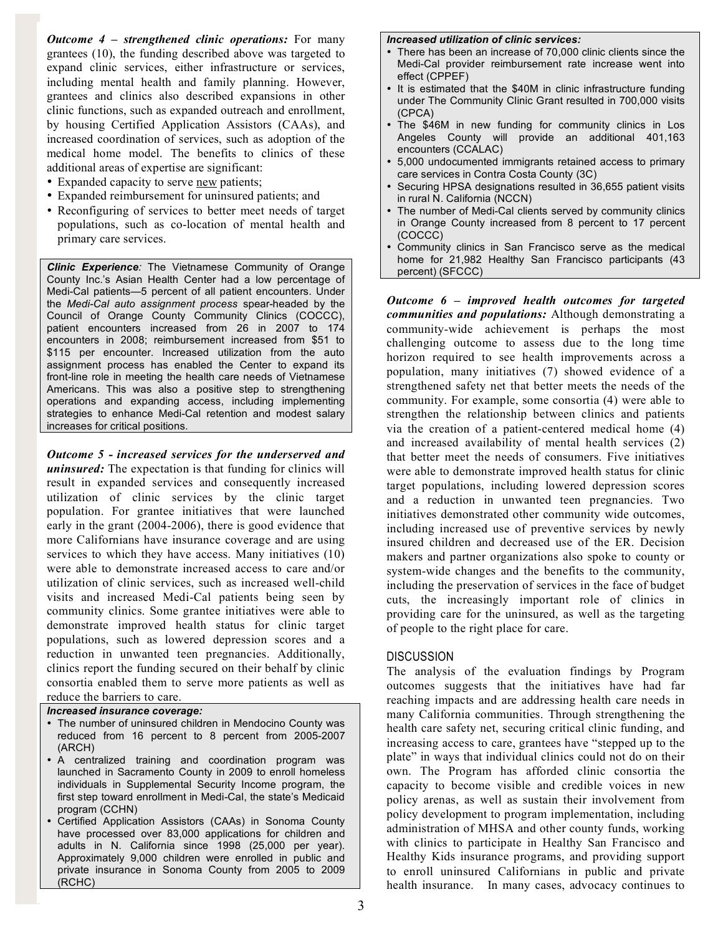*Outcome 4 – strengthened clinic operations:* For many grantees (10), the funding described above was targeted to expand clinic services, either infrastructure or services, including mental health and family planning. However, grantees and clinics also described expansions in other clinic functions, such as expanded outreach and enrollment, by housing Certified Application Assistors (CAAs), and increased coordination of services, such as adoption of the medical home model. The benefits to clinics of these additional areas of expertise are significant:

- Expanded capacity to serve new patients;
- Expanded reimbursement for uninsured patients; and
- Reconfiguring of services to better meet needs of target populations, such as co-location of mental health and primary care services.

*Clinic Experience:* The Vietnamese Community of Orange County Inc.'s Asian Health Center had a low percentage of Medi-Cal patients—5 percent of all patient encounters. Under the *Medi-Cal auto assignment process* spear-headed by the Council of Orange County Community Clinics (COCCC), patient encounters increased from 26 in 2007 to 174 encounters in 2008; reimbursement increased from \$51 to \$115 per encounter. Increased utilization from the auto assignment process has enabled the Center to expand its front-line role in meeting the health care needs of Vietnamese Americans. This was also a positive step to strengthening operations and expanding access, including implementing strategies to enhance Medi-Cal retention and modest salary increases for critical positions.

*Outcome 5 - increased services for the underserved and uninsured:* The expectation is that funding for clinics will result in expanded services and consequently increased utilization of clinic services by the clinic target population. For grantee initiatives that were launched early in the grant (2004-2006), there is good evidence that more Californians have insurance coverage and are using services to which they have access. Many initiatives (10) were able to demonstrate increased access to care and/or utilization of clinic services, such as increased well-child visits and increased Medi-Cal patients being seen by community clinics. Some grantee initiatives were able to demonstrate improved health status for clinic target populations, such as lowered depression scores and a reduction in unwanted teen pregnancies. Additionally, clinics report the funding secured on their behalf by clinic consortia enabled them to serve more patients as well as reduce the barriers to care.

### *Increased insurance coverage:*

- The number of uninsured children in Mendocino County was reduced from 16 percent to 8 percent from 2005-2007 (ARCH)
- A centralized training and coordination program was launched in Sacramento County in 2009 to enroll homeless individuals in Supplemental Security Income program, the first step toward enrollment in Medi-Cal, the state's Medicaid program (CCHN)
- Certified Application Assistors (CAAs) in Sonoma County have processed over 83,000 applications for children and adults in N. California since 1998 (25,000 per year). Approximately 9,000 children were enrolled in public and private insurance in Sonoma County from 2005 to 2009 (RCHC)

#### *Increased utilization of clinic services:*

- There has been an increase of 70,000 clinic clients since the Medi-Cal provider reimbursement rate increase went into effect (CPPEF)
- It is estimated that the \$40M in clinic infrastructure funding under The Community Clinic Grant resulted in 700,000 visits (CPCA)
- The \$46M in new funding for community clinics in Los Angeles County will provide an additional 401,163 encounters (CCALAC)
- 5,000 undocumented immigrants retained access to primary care services in Contra Costa County (3C)
- Securing HPSA designations resulted in 36,655 patient visits in rural N. California (NCCN)
- The number of Medi-Cal clients served by community clinics in Orange County increased from 8 percent to 17 percent (COCCC)
- Community clinics in San Francisco serve as the medical home for 21,982 Healthy San Francisco participants (43 percent) (SFCCC)

*Outcome 6 – improved health outcomes for targeted communities and populations:* Although demonstrating a community-wide achievement is perhaps the most challenging outcome to assess due to the long time horizon required to see health improvements across a population, many initiatives (7) showed evidence of a strengthened safety net that better meets the needs of the community. For example, some consortia (4) were able to strengthen the relationship between clinics and patients via the creation of a patient-centered medical home (4) and increased availability of mental health services (2) that better meet the needs of consumers. Five initiatives were able to demonstrate improved health status for clinic target populations, including lowered depression scores and a reduction in unwanted teen pregnancies. Two initiatives demonstrated other community wide outcomes, including increased use of preventive services by newly insured children and decreased use of the ER. Decision makers and partner organizations also spoke to county or system-wide changes and the benefits to the community, including the preservation of services in the face of budget cuts, the increasingly important role of clinics in providing care for the uninsured, as well as the targeting of people to the right place for care.

### **DISCUSSION**

The analysis of the evaluation findings by Program outcomes suggests that the initiatives have had far reaching impacts and are addressing health care needs in many California communities. Through strengthening the health care safety net, securing critical clinic funding, and increasing access to care, grantees have "stepped up to the plate" in ways that individual clinics could not do on their own. The Program has afforded clinic consortia the capacity to become visible and credible voices in new policy arenas, as well as sustain their involvement from policy development to program implementation, including administration of MHSA and other county funds, working with clinics to participate in Healthy San Francisco and Healthy Kids insurance programs, and providing support to enroll uninsured Californians in public and private health insurance. In many cases, advocacy continues to